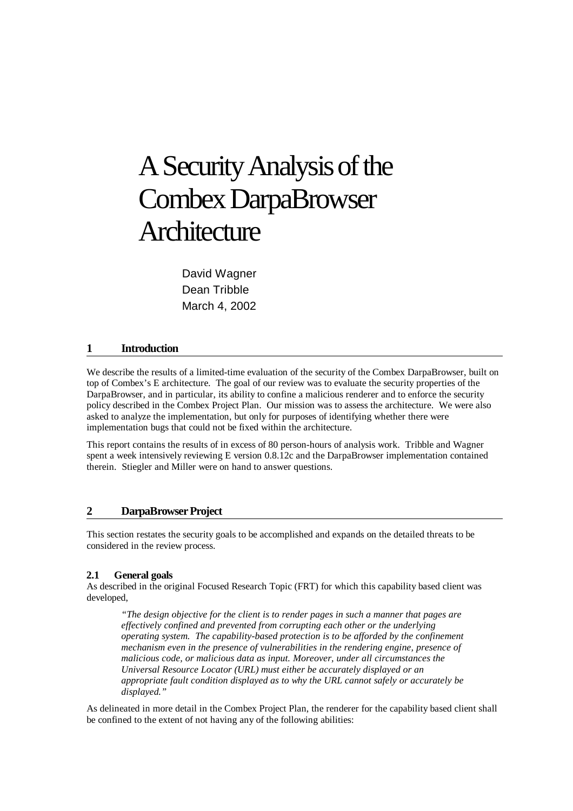# ASecurityAnalysisofthe Combex DarpaBrowser **Architecture**

David Wagner Dean Tribble March 4, 2002

## **1 Introduction**

We describe the results of a limited-time evaluation of the security of the Combex DarpaBrowser, built on top of Combex's E architecture. The goal of our review was to evaluate the security properties of the DarpaBrowser, and in particular, its ability to confine a malicious renderer and to enforce the security policy described in the Combex Project Plan. Our mission was to assess the architecture. We were also asked to analyze the implementation, but only for purposes of identifying whether there were implementation bugs that could not be fixed within the architecture.

This report contains the results of in excess of 80 person-hours of analysis work. Tribble and Wagner spent a week intensively reviewing E version 0.8.12c and the DarpaBrowser implementation contained therein. Stiegler and Miller were on hand to answer questions.

## **2 DarpaBrowser Project**

This section restates the security goals to be accomplished and expands on the detailed threats to be considered in the review process.

#### **2.1 General goals**

As described in the original Focused Research Topic (FRT) for which this capability based client was developed,

*"The design objective for the client is to render pages in such a manner that pages are effectively confined and prevented from corrupting each other or the underlying operating system. The capability-based protection is to be afforded by the confinement mechanism even in the presence of vulnerabilities in the rendering engine, presence of malicious code, or malicious data as input. Moreover, under all circumstances the Universal Resource Locator (URL) must either be accurately displayed or an appropriate fault condition displayed as to why the URL cannot safely or accurately be displayed."*

As delineated in more detail in the Combex Project Plan, the renderer for the capability based client shall be confined to the extent of not having any of the following abilities: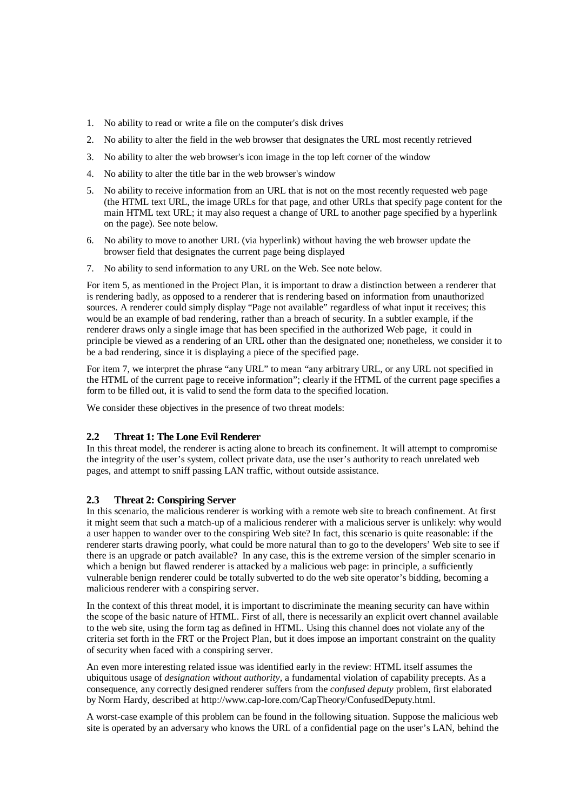- 1. No ability to read or write a file on the computer's disk drives
- 2. No ability to alter the field in the web browser that designates the URL most recently retrieved
- 3. No ability to alter the web browser's icon image in the top left corner of the window
- 4. No ability to alter the title bar in the web browser's window
- 5. No ability to receive information from an URL that is not on the most recently requested web page (the HTML text URL, the image URLs for that page, and other URLs that specify page content for the main HTML text URL; it may also request a change of URL to another page specified by a hyperlink on the page). See note below.
- 6. No ability to move to another URL (via hyperlink) without having the web browser update the browser field that designates the current page being displayed
- 7. No ability to send information to any URL on the Web. See note below.

For item 5, as mentioned in the Project Plan, it is important to draw a distinction between a renderer that is rendering badly, as opposed to a renderer that is rendering based on information from unauthorized sources. A renderer could simply display "Page not available" regardless of what input it receives; this would be an example of bad rendering, rather than a breach of security. In a subtler example, if the renderer draws only a single image that has been specified in the authorized Web page, it could in principle be viewed as a rendering of an URL other than the designated one; nonetheless, we consider it to be a bad rendering, since it is displaying a piece of the specified page.

For item 7, we interpret the phrase "any URL" to mean "any arbitrary URL, or any URL not specified in the HTML of the current page to receive information"; clearly if the HTML of the current page specifies a form to be filled out, it is valid to send the form data to the specified location.

We consider these objectives in the presence of two threat models:

## **2.2 Threat 1: The Lone Evil Renderer**

In this threat model, the renderer is acting alone to breach its confinement. It will attempt to compromise the integrity of the user's system, collect private data, use the user's authority to reach unrelated web pages, and attempt to sniff passing LAN traffic, without outside assistance.

## **2.3 Threat 2: Conspiring Server**

In this scenario, the malicious renderer is working with a remote web site to breach confinement. At first it might seem that such a match-up of a malicious renderer with a malicious server is unlikely: why would a user happen to wander over to the conspiring Web site? In fact, this scenario is quite reasonable: if the renderer starts drawing poorly, what could be more natural than to go to the developers' Web site to see if there is an upgrade or patch available? In any case, this is the extreme version of the simpler scenario in which a benign but flawed renderer is attacked by a malicious web page: in principle, a sufficiently vulnerable benign renderer could be totally subverted to do the web site operator's bidding, becoming a malicious renderer with a conspiring server.

In the context of this threat model, it is important to discriminate the meaning security can have within the scope of the basic nature of HTML. First of all, there is necessarily an explicit overt channel available to the web site, using the form tag as defined in HTML. Using this channel does not violate any of the criteria set forth in the FRT or the Project Plan, but it does impose an important constraint on the quality of security when faced with a conspiring server.

An even more interesting related issue was identified early in the review: HTML itself assumes the ubiquitous usage of *designation without authority*, a fundamental violation of capability precepts. As a consequence, any correctly designed renderer suffers from the *confused deputy* problem, first elaborated by Norm Hardy, described at http://www.cap-lore.com/CapTheory/ConfusedDeputy.html.

A worst-case example of this problem can be found in the following situation. Suppose the malicious web site is operated by an adversary who knows the URL of a confidential page on the user's LAN, behind the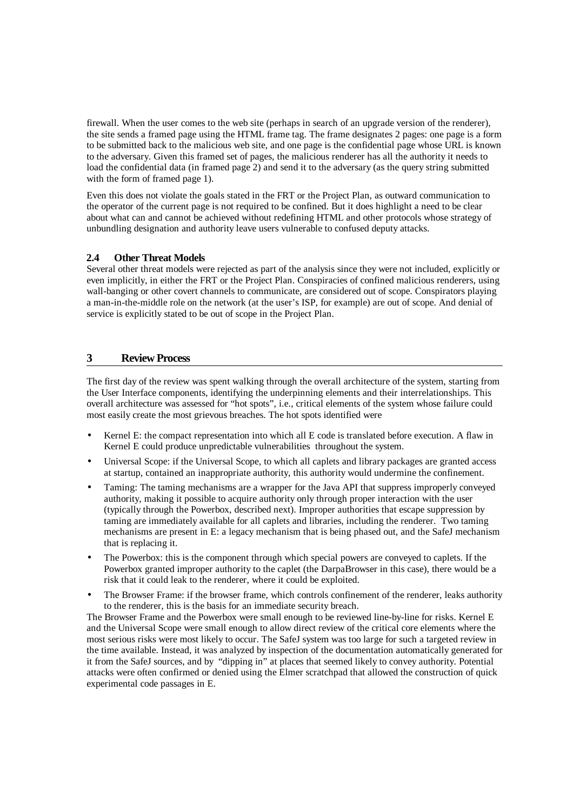firewall. When the user comes to the web site (perhaps in search of an upgrade version of the renderer), the site sends a framed page using the HTML frame tag. The frame designates 2 pages: one page is a form to be submitted back to the malicious web site, and one page is the confidential page whose URL is known to the adversary. Given this framed set of pages, the malicious renderer has all the authority it needs to load the confidential data (in framed page 2) and send it to the adversary (as the query string submitted with the form of framed page 1).

Even this does not violate the goals stated in the FRT or the Project Plan, as outward communication to the operator of the current page is not required to be confined. But it does highlight a need to be clear about what can and cannot be achieved without redefining HTML and other protocols whose strategy of unbundling designation and authority leave users vulnerable to confused deputy attacks.

## **2.4 Other Threat Models**

Several other threat models were rejected as part of the analysis since they were not included, explicitly or even implicitly, in either the FRT or the Project Plan. Conspiracies of confined malicious renderers, using wall-banging or other covert channels to communicate, are considered out of scope. Conspirators playing a man-in-the-middle role on the network (at the user's ISP, for example) are out of scope. And denial of service is explicitly stated to be out of scope in the Project Plan.

## **3 Review Process**

The first day of the review was spent walking through the overall architecture of the system, starting from the User Interface components, identifying the underpinning elements and their interrelationships. This overall architecture was assessed for "hot spots", i.e., critical elements of the system whose failure could most easily create the most grievous breaches. The hot spots identified were

- Kernel E: the compact representation into which all E code is translated before execution. A flaw in Kernel E could produce unpredictable vulnerabilities throughout the system.
- Universal Scope: if the Universal Scope, to which all caplets and library packages are granted access at startup, contained an inappropriate authority, this authority would undermine the confinement.
- Taming: The taming mechanisms are a wrapper for the Java API that suppress improperly conveyed authority, making it possible to acquire authority only through proper interaction with the user (typically through the Powerbox, described next). Improper authorities that escape suppression by taming are immediately available for all caplets and libraries, including the renderer. Two taming mechanisms are present in E: a legacy mechanism that is being phased out, and the SafeJ mechanism that is replacing it.
- The Powerbox: this is the component through which special powers are conveyed to caplets. If the Powerbox granted improper authority to the caplet (the DarpaBrowser in this case), there would be a risk that it could leak to the renderer, where it could be exploited.
- The Browser Frame: if the browser frame, which controls confinement of the renderer, leaks authority to the renderer, this is the basis for an immediate security breach.

The Browser Frame and the Powerbox were small enough to be reviewed line-by-line for risks. Kernel E and the Universal Scope were small enough to allow direct review of the critical core elements where the most serious risks were most likely to occur. The SafeJ system was too large for such a targeted review in the time available. Instead, it was analyzed by inspection of the documentation automatically generated for it from the SafeJ sources, and by "dipping in" at places that seemed likely to convey authority. Potential attacks were often confirmed or denied using the Elmer scratchpad that allowed the construction of quick experimental code passages in E.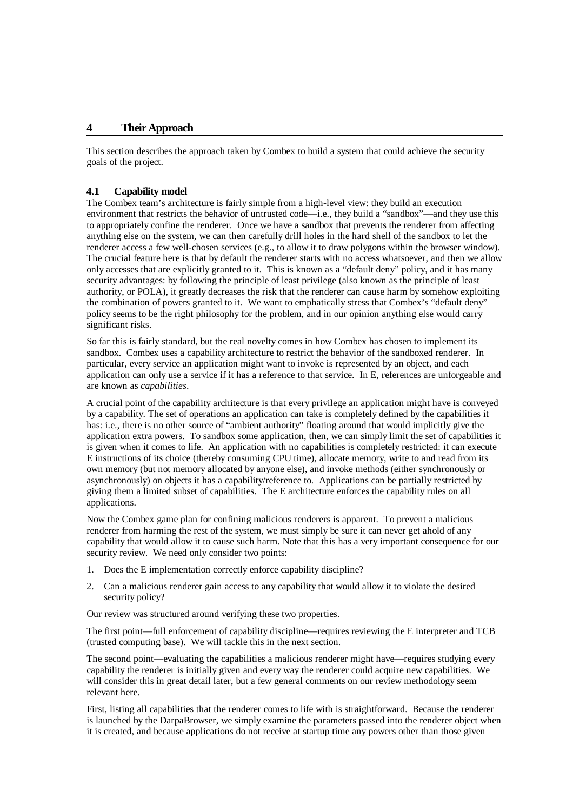## **4 TheirApproach**

This section describes the approach taken by Combex to build a system that could achieve the security goals of the project.

#### **4.1 Capability model**

The Combex team's architecture is fairly simple from a high-level view: they build an execution environment that restricts the behavior of untrusted code—i.e., they build a "sandbox"—and they use this to appropriately confine the renderer. Once we have a sandbox that prevents the renderer from affecting anything else on the system, we can then carefully drill holes in the hard shell of the sandbox to let the renderer access a few well-chosen services (e.g., to allow it to draw polygons within the browser window). The crucial feature here is that by default the renderer starts with no access whatsoever, and then we allow only accesses that are explicitly granted to it. This is known as a "default deny" policy, and it has many security advantages: by following the principle of least privilege (also known as the principle of least authority, or POLA), it greatly decreases the risk that the renderer can cause harm by somehow exploiting the combination of powers granted to it. We want to emphatically stress that Combex's "default deny" policy seems to be the right philosophy for the problem, and in our opinion anything else would carry significant risks.

So far this is fairly standard, but the real novelty comes in how Combex has chosen to implement its sandbox. Combex uses a capability architecture to restrict the behavior of the sandboxed renderer. In particular, every service an application might want to invoke is represented by an object, and each application can only use a service if it has a reference to that service. In E, references are unforgeable and are known as *capabilities*.

A crucial point of the capability architecture is that every privilege an application might have is conveyed by a capability. The set of operations an application can take is completely defined by the capabilities it has: i.e., there is no other source of "ambient authority" floating around that would implicitly give the application extra powers. To sandbox some application, then, we can simply limit the set of capabilities it is given when it comes to life. An application with no capabilities is completely restricted: it can execute E instructions of its choice (thereby consuming CPU time), allocate memory, write to and read from its own memory (but not memory allocated by anyone else), and invoke methods (either synchronously or asynchronously) on objects it has a capability/reference to. Applications can be partially restricted by giving them a limited subset of capabilities. The E architecture enforces the capability rules on all applications.

Now the Combex game plan for confining malicious renderers is apparent. To prevent a malicious renderer from harming the rest of the system, we must simply be sure it can never get ahold of any capability that would allow it to cause such harm. Note that this has a very important consequence for our security review. We need only consider two points:

- 1. Does the E implementation correctly enforce capability discipline?
- 2. Can a malicious renderer gain access to any capability that would allow it to violate the desired security policy?

Our review was structured around verifying these two properties.

The first point—full enforcement of capability discipline—requires reviewing the E interpreter and TCB (trusted computing base). We will tackle this in the next section.

The second point—evaluating the capabilities a malicious renderer might have—requires studying every capability the renderer is initially given and every way the renderer could acquire new capabilities. We will consider this in great detail later, but a few general comments on our review methodology seem relevant here.

First, listing all capabilities that the renderer comes to life with is straightforward. Because the renderer is launched by the DarpaBrowser, we simply examine the parameters passed into the renderer object when it is created, and because applications do not receive at startup time any powers other than those given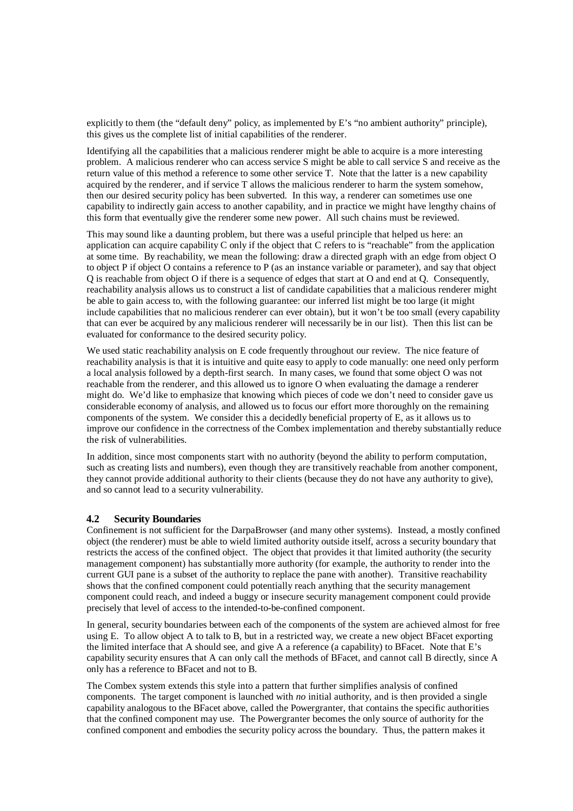explicitly to them (the "default deny" policy, as implemented by E's "no ambient authority" principle), this gives us the complete list of initial capabilities of the renderer.

Identifying all the capabilities that a malicious renderer might be able to acquire is a more interesting problem. A malicious renderer who can access service S might be able to call service S and receive as the return value of this method a reference to some other service T. Note that the latter is a new capability acquired by the renderer, and if service T allows the malicious renderer to harm the system somehow, then our desired security policy has been subverted. In this way, a renderer can sometimes use one capability to indirectly gain access to another capability, and in practice we might have lengthy chains of this form that eventually give the renderer some new power. All such chains must be reviewed.

This may sound like a daunting problem, but there was a useful principle that helped us here: an application can acquire capability C only if the object that C refers to is "reachable" from the application at some time. By reachability, we mean the following: draw a directed graph with an edge from object O to object P if object O contains a reference to P (as an instance variable or parameter), and say that object Q is reachable from object O if there is a sequence of edges that start at O and end at Q. Consequently, reachability analysis allows us to construct a list of candidate capabilities that a malicious renderer might be able to gain access to, with the following guarantee: our inferred list might be too large (it might include capabilities that no malicious renderer can ever obtain), but it won't be too small (every capability that can ever be acquired by any malicious renderer will necessarily be in our list). Then this list can be evaluated for conformance to the desired security policy.

We used static reachability analysis on E code frequently throughout our review. The nice feature of reachability analysis is that it is intuitive and quite easy to apply to code manually: one need only perform a local analysis followed by a depth-first search. In many cases, we found that some object O was not reachable from the renderer, and this allowed us to ignore O when evaluating the damage a renderer might do. We'd like to emphasize that knowing which pieces of code we don't need to consider gave us considerable economy of analysis, and allowed us to focus our effort more thoroughly on the remaining components of the system. We consider this a decidedly beneficial property of E, as it allows us to improve our confidence in the correctness of the Combex implementation and thereby substantially reduce the risk of vulnerabilities.

In addition, since most components start with no authority (beyond the ability to perform computation, such as creating lists and numbers), even though they are transitively reachable from another component, they cannot provide additional authority to their clients (because they do not have any authority to give), and so cannot lead to a security vulnerability.

#### **4.2 Security Boundaries**

Confinement is not sufficient for the DarpaBrowser (and many other systems). Instead, a mostly confined object (the renderer) must be able to wield limited authority outside itself, across a security boundary that restricts the access of the confined object. The object that provides it that limited authority (the security management component) has substantially more authority (for example, the authority to render into the current GUI pane is a subset of the authority to replace the pane with another). Transitive reachability shows that the confined component could potentially reach anything that the security management component could reach, and indeed a buggy or insecure security management component could provide precisely that level of access to the intended-to-be-confined component.

In general, security boundaries between each of the components of the system are achieved almost for free using E. To allow object A to talk to B, but in a restricted way, we create a new object BFacet exporting the limited interface that A should see, and give A a reference (a capability) to BFacet. Note that E's capability security ensures that A can only call the methods of BFacet, and cannot call B directly, since A only has a reference to BFacet and not to B.

The Combex system extends this style into a pattern that further simplifies analysis of confined components. The target component is launched with *no* initial authority, and is then provided a single capability analogous to the BFacet above, called the Powergranter, that contains the specific authorities that the confined component may use. The Powergranter becomes the only source of authority for the confined component and embodies the security policy across the boundary. Thus, the pattern makes it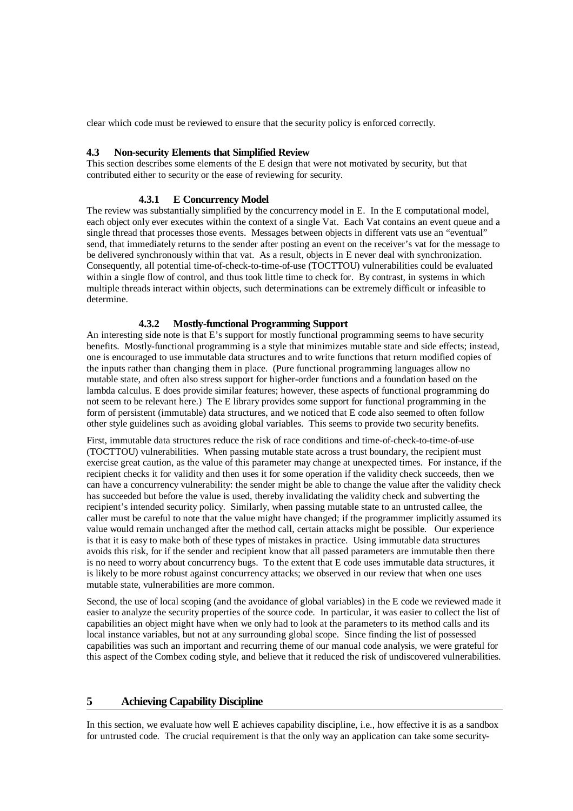clear which code must be reviewed to ensure that the security policy is enforced correctly.

## **4.3 Non-security Elements that Simplified Review**

This section describes some elements of the E design that were not motivated by security, but that contributed either to security or the ease of reviewing for security.

#### **4.3.1 E Concurrency Model**

The review was substantially simplified by the concurrency model in E. In the E computational model, each object only ever executes within the context of a single Vat. Each Vat contains an event queue and a single thread that processes those events. Messages between objects in different vats use an "eventual" send, that immediately returns to the sender after posting an event on the receiver's vat for the message to be delivered synchronously within that vat. As a result, objects in E never deal with synchronization. Consequently, all potential time-of-check-to-time-of-use (TOCTTOU) vulnerabilities could be evaluated within a single flow of control, and thus took little time to check for. By contrast, in systems in which multiple threads interact within objects, such determinations can be extremely difficult or infeasible to determine.

#### **4.3.2 Mostly-functional Programming Support**

An interesting side note is that E's support for mostly functional programming seems to have security benefits. Mostly-functional programming is a style that minimizes mutable state and side effects; instead, one is encouraged to use immutable data structures and to write functions that return modified copies of the inputs rather than changing them in place. (Pure functional programming languages allow no mutable state, and often also stress support for higher-order functions and a foundation based on the lambda calculus. E does provide similar features; however, these aspects of functional programming do not seem to be relevant here.) The E library provides some support for functional programming in the form of persistent (immutable) data structures, and we noticed that E code also seemed to often follow other style guidelines such as avoiding global variables. This seems to provide two security benefits.

First, immutable data structures reduce the risk of race conditions and time-of-check-to-time-of-use (TOCTTOU) vulnerabilities. When passing mutable state across a trust boundary, the recipient must exercise great caution, as the value of this parameter may change at unexpected times. For instance, if the recipient checks it for validity and then uses it for some operation if the validity check succeeds, then we can have a concurrency vulnerability: the sender might be able to change the value after the validity check has succeeded but before the value is used, thereby invalidating the validity check and subverting the recipient's intended security policy. Similarly, when passing mutable state to an untrusted callee, the caller must be careful to note that the value might have changed; if the programmer implicitly assumed its value would remain unchanged after the method call, certain attacks might be possible. Our experience is that it is easy to make both of these types of mistakes in practice. Using immutable data structures avoids this risk, for if the sender and recipient know that all passed parameters are immutable then there is no need to worry about concurrency bugs. To the extent that E code uses immutable data structures, it is likely to be more robust against concurrency attacks; we observed in our review that when one uses mutable state, vulnerabilities are more common.

Second, the use of local scoping (and the avoidance of global variables) in the E code we reviewed made it easier to analyze the security properties of the source code. In particular, it was easier to collect the list of capabilities an object might have when we only had to look at the parameters to its method calls and its local instance variables, but not at any surrounding global scope. Since finding the list of possessed capabilities was such an important and recurring theme of our manual code analysis, we were grateful for this aspect of the Combex coding style, and believe that it reduced the risk of undiscovered vulnerabilities.

#### **5 Achieving Capability Discipline**

In this section, we evaluate how well E achieves capability discipline, i.e., how effective it is as a sandbox for untrusted code. The crucial requirement is that the only way an application can take some security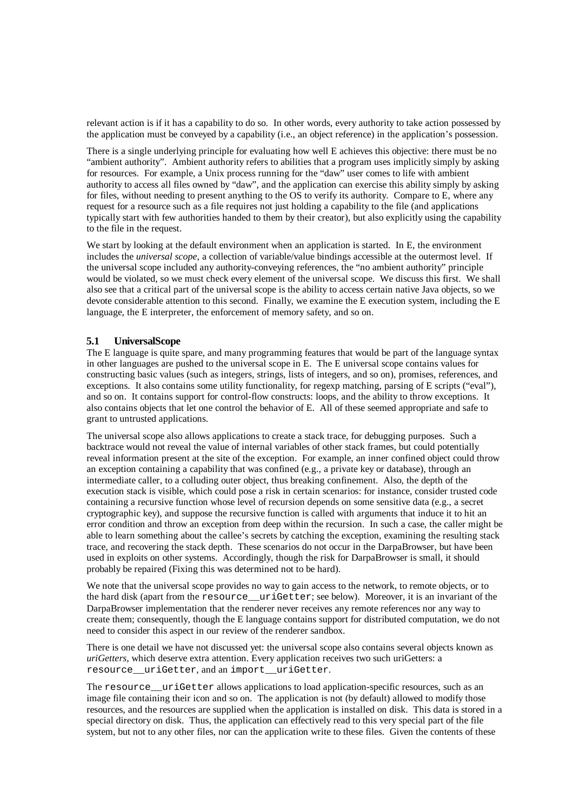relevant action is if it has a capability to do so. In other words, every authority to take action possessed by the application must be conveyed by a capability (i.e., an object reference) in the application's possession.

There is a single underlying principle for evaluating how well E achieves this objective: there must be no "ambient authority". Ambient authority refers to abilities that a program uses implicitly simply by asking for resources. For example, a Unix process running for the "daw" user comes to life with ambient authority to access all files owned by "daw", and the application can exercise this ability simply by asking for files, without needing to present anything to the OS to verify its authority. Compare to E, where any request for a resource such as a file requires not just holding a capability to the file (and applications typically start with few authorities handed to them by their creator), but also explicitly using the capability to the file in the request.

We start by looking at the default environment when an application is started. In E, the environment includes the *universal scope*, a collection of variable/value bindings accessible at the outermost level. If the universal scope included any authority-conveying references, the "no ambient authority" principle would be violated, so we must check every element of the universal scope. We discuss this first. We shall also see that a critical part of the universal scope is the ability to access certain native Java objects, so we devote considerable attention to this second. Finally, we examine the E execution system, including the E language, the E interpreter, the enforcement of memory safety, and so on.

#### **5.1 UniversalScope**

The E language is quite spare, and many programming features that would be part of the language syntax in other languages are pushed to the universal scope in E. The E universal scope contains values for constructing basic values (such as integers, strings, lists of integers, and so on), promises, references, and exceptions. It also contains some utility functionality, for regexp matching, parsing of E scripts ("eval"), and so on. It contains support for control-flow constructs: loops, and the ability to throw exceptions. It also contains objects that let one control the behavior of E. All of these seemed appropriate and safe to grant to untrusted applications.

The universal scope also allows applications to create a stack trace, for debugging purposes. Such a backtrace would not reveal the value of internal variables of other stack frames, but could potentially reveal information present at the site of the exception. For example, an inner confined object could throw an exception containing a capability that was confined (e.g., a private key or database), through an intermediate caller, to a colluding outer object, thus breaking confinement. Also, the depth of the execution stack is visible, which could pose a risk in certain scenarios: for instance, consider trusted code containing a recursive function whose level of recursion depends on some sensitive data (e.g., a secret cryptographic key), and suppose the recursive function is called with arguments that induce it to hit an error condition and throw an exception from deep within the recursion. In such a case, the caller might be able to learn something about the callee's secrets by catching the exception, examining the resulting stack trace, and recovering the stack depth. These scenarios do not occur in the DarpaBrowser, but have been used in exploits on other systems. Accordingly, though the risk for DarpaBrowser is small, it should probably be repaired (Fixing this was determined not to be hard).

We note that the universal scope provides no way to gain access to the network, to remote objects, or to the hard disk (apart from the resource\_\_uriGetter; see below). Moreover, it is an invariant of the DarpaBrowser implementation that the renderer never receives any remote references nor any way to create them; consequently, though the E language contains support for distributed computation, we do not need to consider this aspect in our review of the renderer sandbox.

There is one detail we have not discussed yet: the universal scope also contains several objects known as *uriGetters*, which deserve extra attention. Every application receives two such uriGetters: a resource uriGetter, and an import uriGetter.

The resource uriGetter allows applications to load application-specific resources, such as an image file containing their icon and so on. The application is not (by default) allowed to modify those resources, and the resources are supplied when the application is installed on disk. This data is stored in a special directory on disk. Thus, the application can effectively read to this very special part of the file system, but not to any other files, nor can the application write to these files. Given the contents of these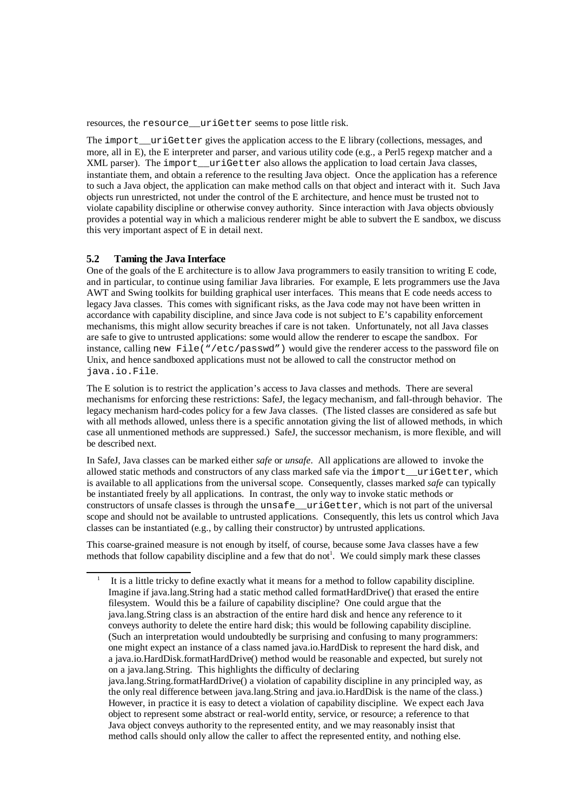resources, the resource uriGetter seems to pose little risk.

The import\_\_uriGetter gives the application access to the E library (collections, messages, and more, all in E), the E interpreter and parser, and various utility code (e.g., a Perl5 regexp matcher and a XML parser). The import\_\_uriGetter also allows the application to load certain Java classes, instantiate them, and obtain a reference to the resulting Java object. Once the application has a reference to such a Java object, the application can make method calls on that object and interact with it. Such Java objects run unrestricted, not under the control of the E architecture, and hence must be trusted not to violate capability discipline or otherwise convey authority. Since interaction with Java objects obviously provides a potential way in which a malicious renderer might be able to subvert the E sandbox, we discuss this very important aspect of E in detail next.

#### **5.2 Taming the Java Interface**

One of the goals of the E architecture is to allow Java programmers to easily transition to writing E code, and in particular, to continue using familiar Java libraries. For example, E lets programmers use the Java AWT and Swing toolkits for building graphical user interfaces. This means that E code needs access to legacy Java classes. This comes with significant risks, as the Java code may not have been written in accordance with capability discipline, and since Java code is not subject to E's capability enforcement mechanisms, this might allow security breaches if care is not taken. Unfortunately, not all Java classes are safe to give to untrusted applications: some would allow the renderer to escape the sandbox. For instance, calling new File("/etc/passwd") would give the renderer access to the password file on Unix, and hence sandboxed applications must not be allowed to call the constructor method on java.io.File.

The E solution is to restrict the application's access to Java classes and methods. There are several mechanisms for enforcing these restrictions: SafeJ, the legacy mechanism, and fall-through behavior. The legacy mechanism hard-codes policy for a few Java classes. (The listed classes are considered as safe but with all methods allowed, unless there is a specific annotation giving the list of allowed methods, in which case all unmentioned methods are suppressed.) SafeJ, the successor mechanism, is more flexible, and will be described next.

In SafeJ, Java classes can be marked either *safe* or *unsafe*. All applications are allowed to invoke the allowed static methods and constructors of any class marked safe via the import\_\_uriGetter, which is available to all applications from the universal scope. Consequently, classes marked *safe* can typically be instantiated freely by all applications. In contrast, the only way to invoke static methods or constructors of unsafe classes is through the unsafe uriGetter, which is not part of the universal scope and should not be available to untrusted applications. Consequently, this lets us control which Java classes can be instantiated (e.g., by calling their constructor) by untrusted applications.

This coarse-grained measure is not enough by itself, of course, because some Java classes have a few methods that follow capability discipline and a few that do not<sup>1</sup>. We could simply mark these classes

<sup>1</sup> It is a little tricky to define exactly what it means for a method to follow capability discipline. Imagine if java.lang.String had a static method called formatHardDrive() that erased the entire filesystem. Would this be a failure of capability discipline? One could argue that the java.lang.String class is an abstraction of the entire hard disk and hence any reference to it conveys authority to delete the entire hard disk; this would be following capability discipline. (Such an interpretation would undoubtedly be surprising and confusing to many programmers: one might expect an instance of a class named java.io.HardDisk to represent the hard disk, and a java.io.HardDisk.formatHardDrive() method would be reasonable and expected, but surely not on a java.lang.String. This highlights the difficulty of declaring java.lang.String.formatHardDrive() a violation of capability discipline in any principled way, as the only real difference between java.lang.String and java.io.HardDisk is the name of the class.) However, in practice it is easy to detect a violation of capability discipline. We expect each Java object to represent some abstract or real-world entity, service, or resource; a reference to that Java object conveys authority to the represented entity, and we may reasonably insist that method calls should only allow the caller to affect the represented entity, and nothing else.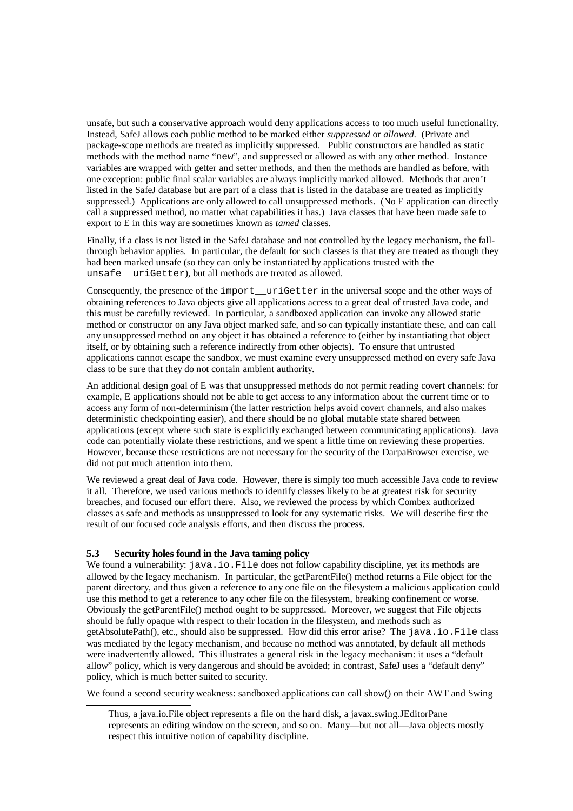unsafe, but such a conservative approach would deny applications access to too much useful functionality. Instead, SafeJ allows each public method to be marked either *suppressed* or *allowed*. (Private and package-scope methods are treated as implicitly suppressed. Public constructors are handled as static methods with the method name "new", and suppressed or allowed as with any other method. Instance variables are wrapped with getter and setter methods, and then the methods are handled as before, with one exception: public final scalar variables are always implicitly marked allowed. Methods that aren't listed in the SafeJ database but are part of a class that is listed in the database are treated as implicitly suppressed.) Applications are only allowed to call unsuppressed methods. (No E application can directly call a suppressed method, no matter what capabilities it has.) Java classes that have been made safe to export to E in this way are sometimes known as *tamed* classes.

Finally, if a class is not listed in the SafeJ database and not controlled by the legacy mechanism, the fallthrough behavior applies. In particular, the default for such classes is that they are treated as though they had been marked unsafe (so they can only be instantiated by applications trusted with the unsafe uriGetter), but all methods are treated as allowed.

Consequently, the presence of the import\_\_uriGetter in the universal scope and the other ways of obtaining references to Java objects give all applications access to a great deal of trusted Java code, and this must be carefully reviewed. In particular, a sandboxed application can invoke any allowed static method or constructor on any Java object marked safe, and so can typically instantiate these, and can call any unsuppressed method on any object it has obtained a reference to (either by instantiating that object itself, or by obtaining such a reference indirectly from other objects). To ensure that untrusted applications cannot escape the sandbox, we must examine every unsuppressed method on every safe Java class to be sure that they do not contain ambient authority.

An additional design goal of E was that unsuppressed methods do not permit reading covert channels: for example, E applications should not be able to get access to any information about the current time or to access any form of non-determinism (the latter restriction helps avoid covert channels, and also makes deterministic checkpointing easier), and there should be no global mutable state shared between applications (except where such state is explicitly exchanged between communicating applications). Java code can potentially violate these restrictions, and we spent a little time on reviewing these properties. However, because these restrictions are not necessary for the security of the DarpaBrowser exercise, we did not put much attention into them.

We reviewed a great deal of Java code. However, there is simply too much accessible Java code to review it all. Therefore, we used various methods to identify classes likely to be at greatest risk for security breaches, and focused our effort there. Also, we reviewed the process by which Combex authorized classes as safe and methods as unsuppressed to look for any systematic risks. We will describe first the result of our focused code analysis efforts, and then discuss the process.

## **5.3 Security holes found in the Java taming policy**

We found a vulnerability: java.io.File does not follow capability discipline, yet its methods are allowed by the legacy mechanism. In particular, the getParentFile() method returns a File object for the parent directory, and thus given a reference to any one file on the filesystem a malicious application could use this method to get a reference to any other file on the filesystem, breaking confinement or worse. Obviously the getParentFile() method ought to be suppressed. Moreover, we suggest that File objects should be fully opaque with respect to their location in the filesystem, and methods such as getAbsolutePath(), etc., should also be suppressed. How did this error arise? The java.io.File class was mediated by the legacy mechanism, and because no method was annotated, by default all methods were inadvertently allowed. This illustrates a general risk in the legacy mechanism: it uses a "default allow" policy, which is very dangerous and should be avoided; in contrast, SafeJ uses a "default deny" policy, which is much better suited to security.

We found a second security weakness: sandboxed applications can call show() on their AWT and Swing

Thus, a java.io.File object represents a file on the hard disk, a javax.swing.JEditorPane represents an editing window on the screen, and so on. Many—but not all—Java objects mostly respect this intuitive notion of capability discipline.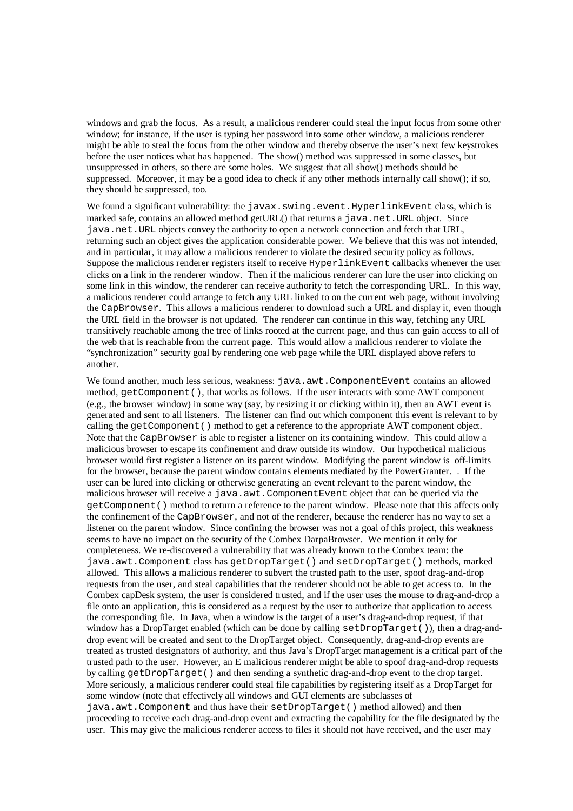windows and grab the focus. As a result, a malicious renderer could steal the input focus from some other window; for instance, if the user is typing her password into some other window, a malicious renderer might be able to steal the focus from the other window and thereby observe the user's next few keystrokes before the user notices what has happened. The show() method was suppressed in some classes, but unsuppressed in others, so there are some holes. We suggest that all show() methods should be suppressed. Moreover, it may be a good idea to check if any other methods internally call show(); if so, they should be suppressed, too.

We found a significant vulnerability: the javax.swing.event.HyperlinkEvent class, which is marked safe, contains an allowed method getURL() that returns a java.net.URL object. Since java.net.URL objects convey the authority to open a network connection and fetch that URL, returning such an object gives the application considerable power. We believe that this was not intended, and in particular, it may allow a malicious renderer to violate the desired security policy as follows. Suppose the malicious renderer registers itself to receive HyperlinkEvent callbacks whenever the user clicks on a link in the renderer window. Then if the malicious renderer can lure the user into clicking on some link in this window, the renderer can receive authority to fetch the corresponding URL. In this way, a malicious renderer could arrange to fetch any URL linked to on the current web page, without involving the CapBrowser. This allows a malicious renderer to download such a URL and display it, even though the URL field in the browser is not updated. The renderer can continue in this way, fetching any URL transitively reachable among the tree of links rooted at the current page, and thus can gain access to all of the web that is reachable from the current page. This would allow a malicious renderer to violate the "synchronization" security goal by rendering one web page while the URL displayed above refers to another.

We found another, much less serious, weakness: java.awt.ComponentEvent contains an allowed method, getComponent(), that works as follows. If the user interacts with some AWT component (e.g., the browser window) in some way (say, by resizing it or clicking within it), then an AWT event is generated and sent to all listeners. The listener can find out which component this event is relevant to by calling the getComponent() method to get a reference to the appropriate AWT component object. Note that the CapBrowser is able to register a listener on its containing window. This could allow a malicious browser to escape its confinement and draw outside its window. Our hypothetical malicious browser would first register a listener on its parent window. Modifying the parent window is off-limits for the browser, because the parent window contains elements mediated by the PowerGranter. . If the user can be lured into clicking or otherwise generating an event relevant to the parent window, the malicious browser will receive a java.awt.ComponentEvent object that can be queried via the getComponent() method to return a reference to the parent window. Please note that this affects only the confinement of the CapBrowser, and not of the renderer, because the renderer has no way to set a listener on the parent window. Since confining the browser was not a goal of this project, this weakness seems to have no impact on the security of the Combex DarpaBrowser. We mention it only for completeness. We re-discovered a vulnerability that was already known to the Combex team: the java.awt.Component class has getDropTarget() and setDropTarget() methods, marked allowed. This allows a malicious renderer to subvert the trusted path to the user, spoof drag-and-drop requests from the user, and steal capabilities that the renderer should not be able to get access to. In the Combex capDesk system, the user is considered trusted, and if the user uses the mouse to drag-and-drop a file onto an application, this is considered as a request by the user to authorize that application to access the corresponding file. In Java, when a window is the target of a user's drag-and-drop request, if that window has a DropTarget enabled (which can be done by calling setDropTarget()), then a drag-anddrop event will be created and sent to the DropTarget object. Consequently, drag-and-drop events are treated as trusted designators of authority, and thus Java's DropTarget management is a critical part of the trusted path to the user. However, an E malicious renderer might be able to spoof drag-and-drop requests by calling getDropTarget() and then sending a synthetic drag-and-drop event to the drop target. More seriously, a malicious renderer could steal file capabilities by registering itself as a DropTarget for some window (note that effectively all windows and GUI elements are subclasses of java.awt.Component and thus have their setDropTarget() method allowed) and then proceeding to receive each drag-and-drop event and extracting the capability for the file designated by the user. This may give the malicious renderer access to files it should not have received, and the user may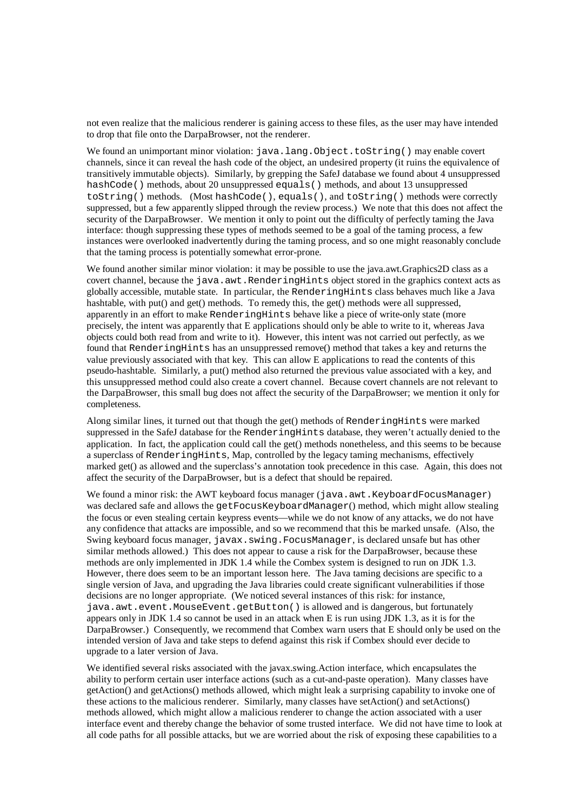not even realize that the malicious renderer is gaining access to these files, as the user may have intended to drop that file onto the DarpaBrowser, not the renderer.

We found an unimportant minor violation: java.lang.Object.toString() may enable covert channels, since it can reveal the hash code of the object, an undesired property (it ruins the equivalence of transitively immutable objects). Similarly, by grepping the SafeJ database we found about 4 unsuppressed hashCode() methods, about 20 unsuppressed equals() methods, and about 13 unsuppressed toString() methods. (Most hashCode(), equals(), and toString() methods were correctly suppressed, but a few apparently slipped through the review process.) We note that this does not affect the security of the DarpaBrowser. We mention it only to point out the difficulty of perfectly taming the Java interface: though suppressing these types of methods seemed to be a goal of the taming process, a few instances were overlooked inadvertently during the taming process, and so one might reasonably conclude that the taming process is potentially somewhat error-prone.

We found another similar minor violation: it may be possible to use the java.awt.Graphics2D class as a covert channel, because the java.awt.RenderingHints object stored in the graphics context acts as globally accessible, mutable state. In particular, the RenderingHints class behaves much like a Java hashtable, with put() and get() methods. To remedy this, the get() methods were all suppressed, apparently in an effort to make RenderingHints behave like a piece of write-only state (more precisely, the intent was apparently that E applications should only be able to write to it, whereas Java objects could both read from and write to it). However, this intent was not carried out perfectly, as we found that RenderingHints has an unsuppressed remove() method that takes a key and returns the value previously associated with that key. This can allow E applications to read the contents of this pseudo-hashtable. Similarly, a put() method also returned the previous value associated with a key, and this unsuppressed method could also create a covert channel. Because covert channels are not relevant to the DarpaBrowser, this small bug does not affect the security of the DarpaBrowser; we mention it only for completeness.

Along similar lines, it turned out that though the get() methods of RenderingHints were marked suppressed in the SafeJ database for the RenderingHints database, they weren't actually denied to the application. In fact, the application could call the get() methods nonetheless, and this seems to be because a superclass of RenderingHints, Map, controlled by the legacy taming mechanisms, effectively marked get() as allowed and the superclass's annotation took precedence in this case. Again, this does not affect the security of the DarpaBrowser, but is a defect that should be repaired.

We found a minor risk: the AWT keyboard focus manager (java.awt.KeyboardFocusManager) was declared safe and allows the getFocusKeyboardManager() method, which might allow stealing the focus or even stealing certain keypress events—while we do not know of any attacks, we do not have any confidence that attacks are impossible, and so we recommend that this be marked unsafe. (Also, the Swing keyboard focus manager, javax.swing.FocusManager, is declared unsafe but has other similar methods allowed.) This does not appear to cause a risk for the DarpaBrowser, because these methods are only implemented in JDK 1.4 while the Combex system is designed to run on JDK 1.3. However, there does seem to be an important lesson here. The Java taming decisions are specific to a single version of Java, and upgrading the Java libraries could create significant vulnerabilities if those decisions are no longer appropriate. (We noticed several instances of this risk: for instance, java.awt.event.MouseEvent.getButton() is allowed and is dangerous, but fortunately appears only in JDK 1.4 so cannot be used in an attack when E is run using JDK 1.3, as it is for the DarpaBrowser.) Consequently, we recommend that Combex warn users that E should only be used on the intended version of Java and take steps to defend against this risk if Combex should ever decide to upgrade to a later version of Java.

We identified several risks associated with the javax.swing.Action interface, which encapsulates the ability to perform certain user interface actions (such as a cut-and-paste operation). Many classes have getAction() and getActions() methods allowed, which might leak a surprising capability to invoke one of these actions to the malicious renderer. Similarly, many classes have setAction() and setActions() methods allowed, which might allow a malicious renderer to change the action associated with a user interface event and thereby change the behavior of some trusted interface. We did not have time to look at all code paths for all possible attacks, but we are worried about the risk of exposing these capabilities to a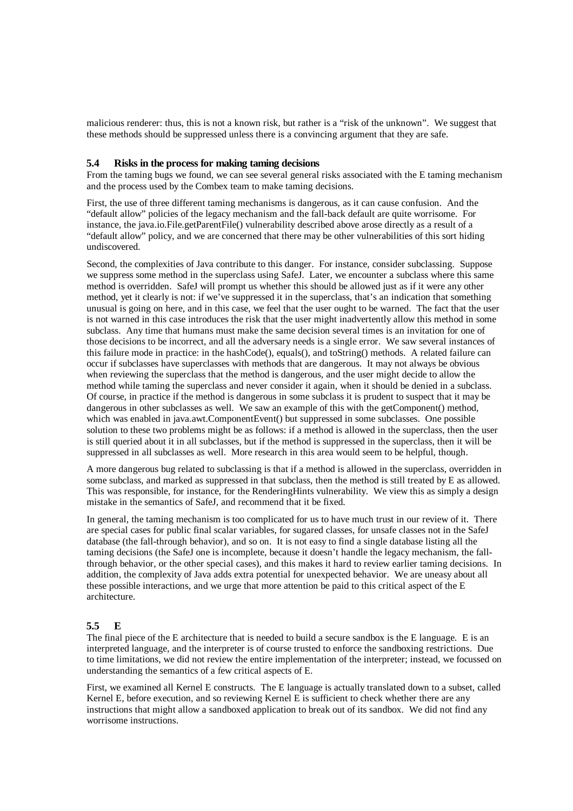malicious renderer: thus, this is not a known risk, but rather is a "risk of the unknown". We suggest that these methods should be suppressed unless there is a convincing argument that they are safe.

#### **5.4 Risks in the process for making taming decisions**

From the taming bugs we found, we can see several general risks associated with the E taming mechanism and the process used by the Combex team to make taming decisions.

First, the use of three different taming mechanisms is dangerous, as it can cause confusion. And the "default allow" policies of the legacy mechanism and the fall-back default are quite worrisome. For instance, the java.io.File.getParentFile() vulnerability described above arose directly as a result of a "default allow" policy, and we are concerned that there may be other vulnerabilities of this sort hiding undiscovered.

Second, the complexities of Java contribute to this danger. For instance, consider subclassing. Suppose we suppress some method in the superclass using SafeJ. Later, we encounter a subclass where this same method is overridden. SafeJ will prompt us whether this should be allowed just as if it were any other method, yet it clearly is not: if we've suppressed it in the superclass, that's an indication that something unusual is going on here, and in this case, we feel that the user ought to be warned. The fact that the user is not warned in this case introduces the risk that the user might inadvertently allow this method in some subclass. Any time that humans must make the same decision several times is an invitation for one of those decisions to be incorrect, and all the adversary needs is a single error. We saw several instances of this failure mode in practice: in the hashCode(), equals(), and toString() methods. A related failure can occur if subclasses have superclasses with methods that are dangerous. It may not always be obvious when reviewing the superclass that the method is dangerous, and the user might decide to allow the method while taming the superclass and never consider it again, when it should be denied in a subclass. Of course, in practice if the method is dangerous in some subclass it is prudent to suspect that it may be dangerous in other subclasses as well. We saw an example of this with the getComponent() method, which was enabled in java.awt.ComponentEvent() but suppressed in some subclasses. One possible solution to these two problems might be as follows: if a method is allowed in the superclass, then the user is still queried about it in all subclasses, but if the method is suppressed in the superclass, then it will be suppressed in all subclasses as well. More research in this area would seem to be helpful, though.

A more dangerous bug related to subclassing is that if a method is allowed in the superclass, overridden in some subclass, and marked as suppressed in that subclass, then the method is still treated by E as allowed. This was responsible, for instance, for the RenderingHints vulnerability. We view this as simply a design mistake in the semantics of SafeJ, and recommend that it be fixed.

In general, the taming mechanism is too complicated for us to have much trust in our review of it. There are special cases for public final scalar variables, for sugared classes, for unsafe classes not in the SafeJ database (the fall-through behavior), and so on. It is not easy to find a single database listing all the taming decisions (the SafeJ one is incomplete, because it doesn't handle the legacy mechanism, the fallthrough behavior, or the other special cases), and this makes it hard to review earlier taming decisions. In addition, the complexity of Java adds extra potential for unexpected behavior. We are uneasy about all these possible interactions, and we urge that more attention be paid to this critical aspect of the E architecture.

## **5.5 E**

The final piece of the E architecture that is needed to build a secure sandbox is the E language. E is an interpreted language, and the interpreter is of course trusted to enforce the sandboxing restrictions. Due to time limitations, we did not review the entire implementation of the interpreter; instead, we focussed on understanding the semantics of a few critical aspects of E.

First, we examined all Kernel E constructs. The E language is actually translated down to a subset, called Kernel E, before execution, and so reviewing Kernel E is sufficient to check whether there are any instructions that might allow a sandboxed application to break out of its sandbox. We did not find any worrisome instructions.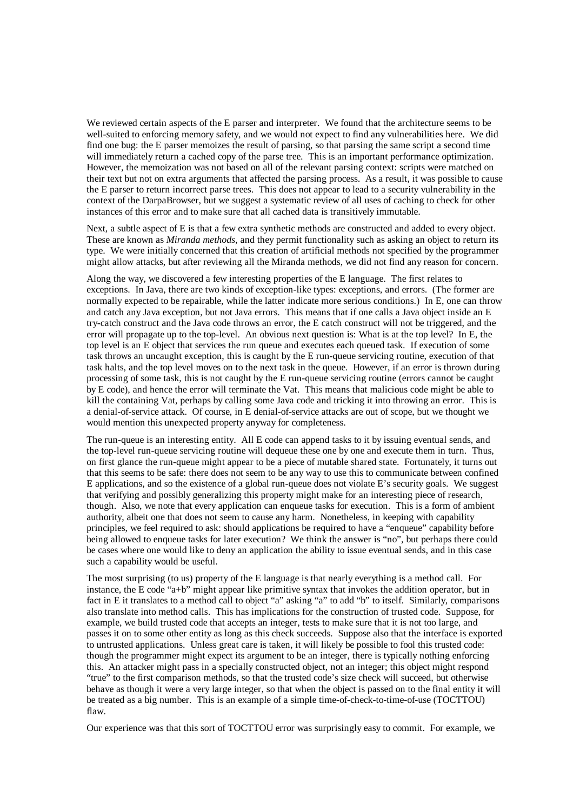We reviewed certain aspects of the E parser and interpreter. We found that the architecture seems to be well-suited to enforcing memory safety, and we would not expect to find any vulnerabilities here. We did find one bug: the E parser memoizes the result of parsing, so that parsing the same script a second time will immediately return a cached copy of the parse tree. This is an important performance optimization. However, the memoization was not based on all of the relevant parsing context: scripts were matched on their text but not on extra arguments that affected the parsing process. As a result, it was possible to cause the E parser to return incorrect parse trees. This does not appear to lead to a security vulnerability in the context of the DarpaBrowser, but we suggest a systematic review of all uses of caching to check for other instances of this error and to make sure that all cached data is transitively immutable.

Next, a subtle aspect of E is that a few extra synthetic methods are constructed and added to every object. These are known as *Miranda methods*, and they permit functionality such as asking an object to return its type. We were initially concerned that this creation of artificial methods not specified by the programmer might allow attacks, but after reviewing all the Miranda methods, we did not find any reason for concern.

Along the way, we discovered a few interesting properties of the E language. The first relates to exceptions. In Java, there are two kinds of exception-like types: exceptions, and errors. (The former are normally expected to be repairable, while the latter indicate more serious conditions.) In E, one can throw and catch any Java exception, but not Java errors. This means that if one calls a Java object inside an E try-catch construct and the Java code throws an error, the E catch construct will not be triggered, and the error will propagate up to the top-level. An obvious next question is: What is at the top level? In E, the top level is an E object that services the run queue and executes each queued task. If execution of some task throws an uncaught exception, this is caught by the E run-queue servicing routine, execution of that task halts, and the top level moves on to the next task in the queue. However, if an error is thrown during processing of some task, this is not caught by the E run-queue servicing routine (errors cannot be caught by E code), and hence the error will terminate the Vat. This means that malicious code might be able to kill the containing Vat, perhaps by calling some Java code and tricking it into throwing an error. This is a denial-of-service attack. Of course, in E denial-of-service attacks are out of scope, but we thought we would mention this unexpected property anyway for completeness.

The run-queue is an interesting entity. All E code can append tasks to it by issuing eventual sends, and the top-level run-queue servicing routine will dequeue these one by one and execute them in turn. Thus, on first glance the run-queue might appear to be a piece of mutable shared state. Fortunately, it turns out that this seems to be safe: there does not seem to be any way to use this to communicate between confined E applications, and so the existence of a global run-queue does not violate E's security goals. We suggest that verifying and possibly generalizing this property might make for an interesting piece of research, though. Also, we note that every application can enqueue tasks for execution. This is a form of ambient authority, albeit one that does not seem to cause any harm. Nonetheless, in keeping with capability principles, we feel required to ask: should applications be required to have a "enqueue" capability before being allowed to enqueue tasks for later execution? We think the answer is "no", but perhaps there could be cases where one would like to deny an application the ability to issue eventual sends, and in this case such a capability would be useful.

The most surprising (to us) property of the E language is that nearly everything is a method call. For instance, the E code "a+b" might appear like primitive syntax that invokes the addition operator, but in fact in E it translates to a method call to object "a" asking "a" to add "b" to itself. Similarly, comparisons also translate into method calls. This has implications for the construction of trusted code. Suppose, for example, we build trusted code that accepts an integer, tests to make sure that it is not too large, and passes it on to some other entity as long as this check succeeds. Suppose also that the interface is exported to untrusted applications. Unless great care is taken, it will likely be possible to fool this trusted code: though the programmer might expect its argument to be an integer, there is typically nothing enforcing this. An attacker might pass in a specially constructed object, not an integer; this object might respond "true" to the first comparison methods, so that the trusted code's size check will succeed, but otherwise behave as though it were a very large integer, so that when the object is passed on to the final entity it will be treated as a big number. This is an example of a simple time-of-check-to-time-of-use (TOCTTOU) flaw.

Our experience was that this sort of TOCTTOU error was surprisingly easy to commit. For example, we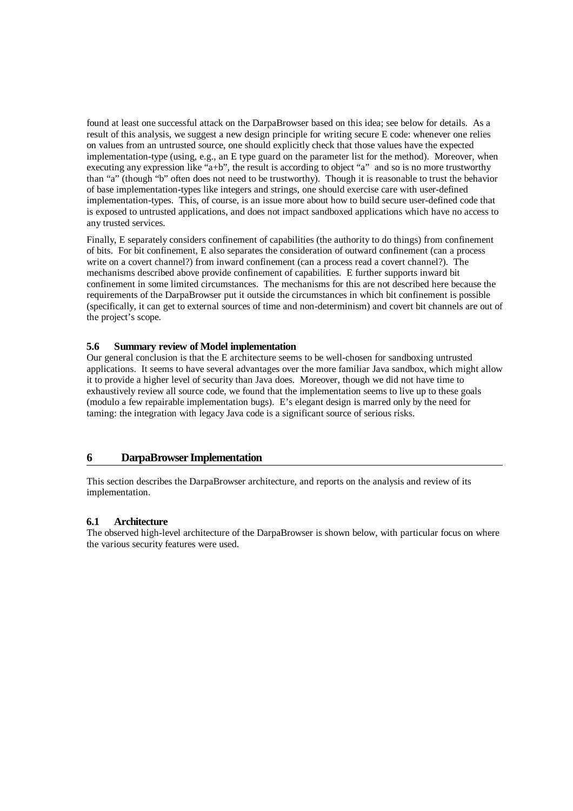found at least one successful attack on the DarpaBrowser based on this idea; see below for details. As a result of this analysis, we suggest a new design principle for writing secure E code: whenever one relies on values from an untrusted source, one should explicitly check that those values have the expected implementation-type (using, e.g., an E type guard on the parameter list for the method). Moreover, when executing any expression like "a+b", the result is according to object "a" and so is no more trustworthy than "a" (though "b" often does not need to be trustworthy). Though it is reasonable to trust the behavior of base implementation-types like integers and strings, one should exercise care with user-defined implementation-types. This, of course, is an issue more about how to build secure user-defined code that is exposed to untrusted applications, and does not impact sandboxed applications which have no access to any trusted services.

Finally, E separately considers confinement of capabilities (the authority to do things) from confinement of bits. For bit confinement, E also separates the consideration of outward confinement (can a process write on a covert channel?) from inward confinement (can a process read a covert channel?). The mechanisms described above provide confinement of capabilities. E further supports inward bit confinement in some limited circumstances. The mechanisms for this are not described here because the requirements of the DarpaBrowser put it outside the circumstances in which bit confinement is possible (specifically, it can get to external sources of time and non-determinism) and covert bit channels are out of the project's scope.

## **5.6 Summary review of Model implementation**

Our general conclusion is that the E architecture seems to be well-chosen for sandboxing untrusted applications. It seems to have several advantages over the more familiar Java sandbox, which might allow it to provide a higher level of security than Java does. Moreover, though we did not have time to exhaustively review all source code, we found that the implementation seems to live up to these goals (modulo a few repairable implementation bugs). E's elegant design is marred only by the need for taming: the integration with legacy Java code is a significant source of serious risks.

## **6 DarpaBrowser Implementation**

This section describes the DarpaBrowser architecture, and reports on the analysis and review of its implementation.

#### **6.1 Architecture**

The observed high-level architecture of the DarpaBrowser is shown below, with particular focus on where the various security features were used.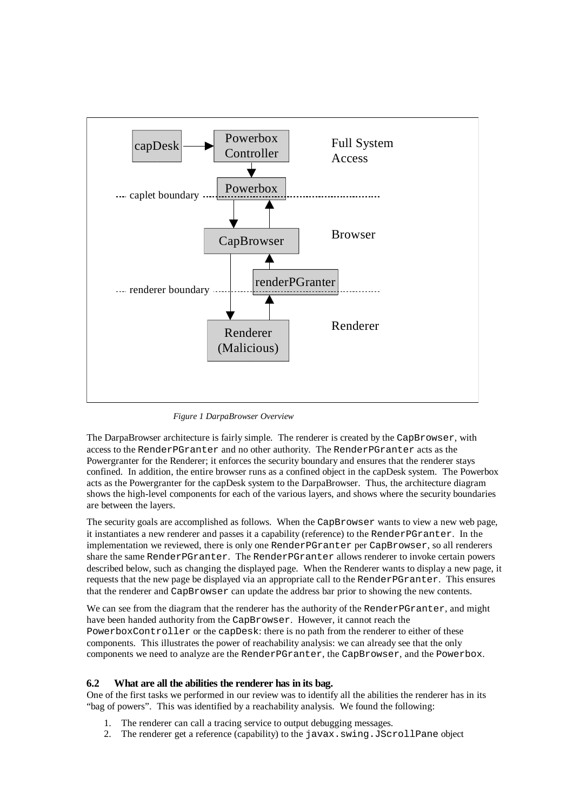

*Figure 1 DarpaBrowser Overview*

The DarpaBrowser architecture is fairly simple. The renderer is created by the CapBrowser, with access to the RenderPGranter and no other authority. The RenderPGranter acts as the Powergranter for the Renderer; it enforces the security boundary and ensures that the renderer stays confined. In addition, the entire browser runs as a confined object in the capDesk system. The Powerbox acts as the Powergranter for the capDesk system to the DarpaBrowser. Thus, the architecture diagram shows the high-level components for each of the various layers, and shows where the security boundaries are between the layers.

The security goals are accomplished as follows. When the CapBrowser wants to view a new web page, it instantiates a new renderer and passes it a capability (reference) to the RenderPGranter. In the implementation we reviewed, there is only one RenderPGranter per CapBrowser, so all renderers share the same RenderPGranter. The RenderPGranter allows renderer to invoke certain powers described below, such as changing the displayed page. When the Renderer wants to display a new page, it requests that the new page be displayed via an appropriate call to the RenderPGranter. This ensures that the renderer and CapBrowser can update the address bar prior to showing the new contents.

We can see from the diagram that the renderer has the authority of the RenderPGranter, and might have been handed authority from the CapBrowser. However, it cannot reach the PowerboxController or the capDesk: there is no path from the renderer to either of these components. This illustrates the power of reachability analysis: we can already see that the only components we need to analyze are the RenderPGranter, the CapBrowser, and the Powerbox.

#### **6.2 What are all the abilities the renderer has in its bag.**

One of the first tasks we performed in our review was to identify all the abilities the renderer has in its "bag of powers". This was identified by a reachability analysis. We found the following:

- 1. The renderer can call a tracing service to output debugging messages.
- 2. The renderer get a reference (capability) to the javax.swing.JScrollPane object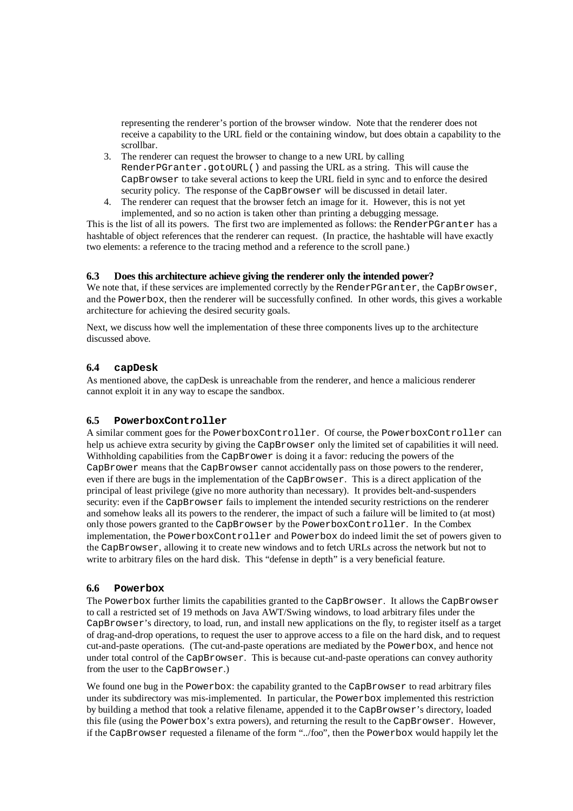representing the renderer's portion of the browser window. Note that the renderer does not receive a capability to the URL field or the containing window, but does obtain a capability to the scrollbar.

- 3. The renderer can request the browser to change to a new URL by calling RenderPGranter.gotoURL() and passing the URL as a string. This will cause the CapBrowser to take several actions to keep the URL field in sync and to enforce the desired security policy. The response of the CapBrowser will be discussed in detail later.
- 4. The renderer can request that the browser fetch an image for it. However, this is not yet implemented, and so no action is taken other than printing a debugging message.

This is the list of all its powers. The first two are implemented as follows: the RenderPGranter has a hashtable of object references that the renderer can request. (In practice, the hashtable will have exactly two elements: a reference to the tracing method and a reference to the scroll pane.)

## **6.3 Does this architecture achieve giving the renderer only the intended power?**

We note that, if these services are implemented correctly by the RenderPGranter, the CapBrowser, and the Powerbox, then the renderer will be successfully confined. In other words, this gives a workable architecture for achieving the desired security goals.

Next, we discuss how well the implementation of these three components lives up to the architecture discussed above.

#### **6.4 capDesk**

As mentioned above, the capDesk is unreachable from the renderer, and hence a malicious renderer cannot exploit it in any way to escape the sandbox.

## **6.5 PowerboxController**

A similar comment goes for the PowerboxController. Of course, the PowerboxController can help us achieve extra security by giving the CapBrowser only the limited set of capabilities it will need. Withholding capabilities from the CapBrower is doing it a favor: reducing the powers of the CapBrower means that the CapBrowser cannot accidentally pass on those powers to the renderer, even if there are bugs in the implementation of the CapBrowser. This is a direct application of the principal of least privilege (give no more authority than necessary). It provides belt-and-suspenders security: even if the CapBrowser fails to implement the intended security restrictions on the renderer and somehow leaks all its powers to the renderer, the impact of such a failure will be limited to (at most) only those powers granted to the CapBrowser by the PowerboxController. In the Combex implementation, the PowerboxController and Powerbox do indeed limit the set of powers given to the CapBrowser, allowing it to create new windows and to fetch URLs across the network but not to write to arbitrary files on the hard disk. This "defense in depth" is a very beneficial feature.

#### **6.6 Powerbox**

The Powerbox further limits the capabilities granted to the CapBrowser. It allows the CapBrowser to call a restricted set of 19 methods on Java AWT/Swing windows, to load arbitrary files under the CapBrowser's directory, to load, run, and install new applications on the fly, to register itself as a target of drag-and-drop operations, to request the user to approve access to a file on the hard disk, and to request cut-and-paste operations. (The cut-and-paste operations are mediated by the Powerbox, and hence not under total control of the CapBrowser. This is because cut-and-paste operations can convey authority from the user to the CapBrowser.)

We found one bug in the Powerbox: the capability granted to the CapBrowser to read arbitrary files under its subdirectory was mis-implemented. In particular, the Powerbox implemented this restriction by building a method that took a relative filename, appended it to the CapBrowser's directory, loaded this file (using the Powerbox's extra powers), and returning the result to the CapBrowser. However, if the CapBrowser requested a filename of the form "../foo", then the Powerbox would happily let the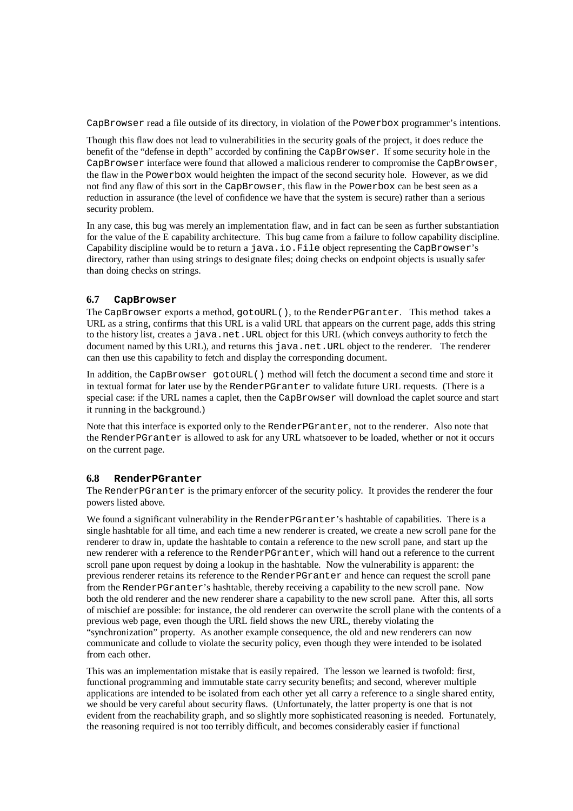CapBrowser read a file outside of its directory, in violation of the Powerbox programmer's intentions.

Though this flaw does not lead to vulnerabilities in the security goals of the project, it does reduce the benefit of the "defense in depth" accorded by confining the CapBrowser. If some security hole in the CapBrowser interface were found that allowed a malicious renderer to compromise the CapBrowser, the flaw in the Powerbox would heighten the impact of the second security hole. However, as we did not find any flaw of this sort in the CapBrowser, this flaw in the Powerbox can be best seen as a reduction in assurance (the level of confidence we have that the system is secure) rather than a serious security problem.

In any case, this bug was merely an implementation flaw, and in fact can be seen as further substantiation for the value of the E capability architecture. This bug came from a failure to follow capability discipline. Capability discipline would be to return a java.io.File object representing the CapBrowser's directory, rather than using strings to designate files; doing checks on endpoint objects is usually safer than doing checks on strings.

## **6.7 CapBrowser**

The CapBrowser exports a method, gotoURL(), to the RenderPGranter. This method takes a URL as a string, confirms that this URL is a valid URL that appears on the current page, adds this string to the history list, creates a java.net.URL object for this URL (which conveys authority to fetch the document named by this URL), and returns this java.net. URL object to the renderer. The renderer can then use this capability to fetch and display the corresponding document.

In addition, the CapBrowser gotoURL() method will fetch the document a second time and store it in textual format for later use by the RenderPGranter to validate future URL requests. (There is a special case: if the URL names a caplet, then the CapBrowser will download the caplet source and start it running in the background.)

Note that this interface is exported only to the RenderPGranter, not to the renderer. Also note that the RenderPGranter is allowed to ask for any URL whatsoever to be loaded, whether or not it occurs on the current page.

#### **6.8 RenderPGranter**

The RenderPGranter is the primary enforcer of the security policy. It provides the renderer the four powers listed above.

We found a significant vulnerability in the RenderPGranter's hashtable of capabilities. There is a single hashtable for all time, and each time a new renderer is created, we create a new scroll pane for the renderer to draw in, update the hashtable to contain a reference to the new scroll pane, and start up the new renderer with a reference to the RenderPGranter, which will hand out a reference to the current scroll pane upon request by doing a lookup in the hashtable. Now the vulnerability is apparent: the previous renderer retains its reference to the RenderPGranter and hence can request the scroll pane from the RenderPGranter's hashtable, thereby receiving a capability to the new scroll pane. Now both the old renderer and the new renderer share a capability to the new scroll pane. After this, all sorts of mischief are possible: for instance, the old renderer can overwrite the scroll plane with the contents of a previous web page, even though the URL field shows the new URL, thereby violating the "synchronization" property. As another example consequence, the old and new renderers can now communicate and collude to violate the security policy, even though they were intended to be isolated from each other.

This was an implementation mistake that is easily repaired. The lesson we learned is twofold: first, functional programming and immutable state carry security benefits; and second, wherever multiple applications are intended to be isolated from each other yet all carry a reference to a single shared entity, we should be very careful about security flaws. (Unfortunately, the latter property is one that is not evident from the reachability graph, and so slightly more sophisticated reasoning is needed. Fortunately, the reasoning required is not too terribly difficult, and becomes considerably easier if functional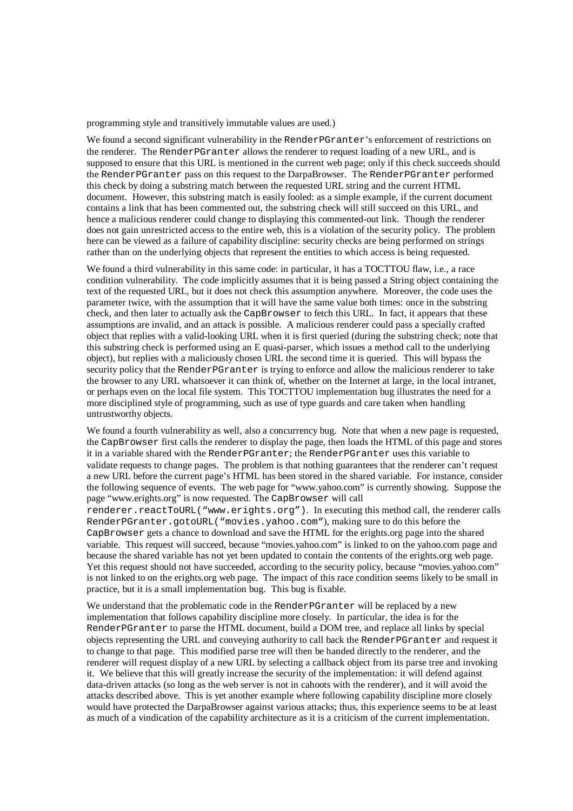programming style and transitively immutable values are used.)

We found a second significant vulnerability in the RenderPGranter's enforcement of restrictions on the renderer. The RenderPGranter allows the renderer to request loading of a new URL, and is supposed to ensure that this URL is mentioned in the current web page; only if this check succeeds should the RenderPGranter pass on this request to the DarpaBrowser. The RenderPGranter performed this check by doing a substring match between the requested URL string and the current HTML document. However, this substring match is easily fooled: as a simple example, if the current document contains a link that has been commented out, the substring check will still succeed on this URL, and hence a malicious renderer could change to displaying this commented-out link. Though the renderer does not gain unrestricted access to the entire web, this is a violation of the security policy. The problem here can be viewed as a failure of capability discipline: security checks are being performed on strings rather than on the underlying objects that represent the entities to which access is being requested.

We found a third vulnerability in this same code: in particular, it has a TOCTTOU flaw, i.e., a race condition vulnerability. The code implicitly assumes that it is being passed a String object containing the text of the requested URL, but it does not check this assumption anywhere. Moreover, the code uses the parameter twice, with the assumption that it will have the same value both times: once in the substring check, and then later to actually ask the CapBrowser to fetch this URL. In fact, it appears that these assumptions are invalid, and an attack is possible. A malicious renderer could pass a specially crafted object that replies with a valid-looking URL when it is first queried (during the substring check; note that this substring check is performed using an E quasi-parser, which issues a method call to the underlying object), but replies with a maliciously chosen URL the second time it is queried. This will bypass the security policy that the RenderPGranter is trying to enforce and allow the malicious renderer to take the browser to any URL whatsoever it can think of, whether on the Internet at large, in the local intranet, or perhaps even on the local file system. This TOCTTOU implementation bug illustrates the need for a more disciplined style of programming, such as use of type guards and care taken when handling untrustworthy objects.

We found a fourth vulnerability as well, also a concurrency bug. Note that when a new page is requested, the CapBrowser first calls the renderer to display the page, then loads the HTML of this page and stores it in a variable shared with the RenderPGranter; the RenderPGranter uses this variable to validate requests to change pages. The problem is that nothing guarantees that the renderer can't request a new URL before the current page's HTML has been stored in the shared variable. For instance, consider the following sequence of events. The web page for "www.yahoo.com" is currently showing. Suppose the page "www.erights.org" is now requested. The CapBrowser will call renderer.reactToURL("www.erights.org"). In executing this method call, the renderer calls RenderPGranter.gotoURL("movies.yahoo.com"), making sure to do this before the CapBrowser gets a chance to download and save the HTML for the erights.org page into the shared variable. This request will succeed, because "movies.yahoo.com" is linked to on the yahoo.com page and because the shared variable has not yet been updated to contain the contents of the erights.org web page. Yet this request should not have succeeded, according to the security policy, because "movies.yahoo.com" is not linked to on the erights.org web page. The impact of this race condition seems likely to be small in practice, but it is a small implementation bug. This bug is fixable.

We understand that the problematic code in the RenderPGranter will be replaced by a new implementation that follows capability discipline more closely. In particular, the idea is for the RenderPGranter to parse the HTML document, build a DOM tree, and replace all links by special objects representing the URL and conveying authority to call back the RenderPGranter and request it to change to that page. This modified parse tree will then be handed directly to the renderer, and the renderer will request display of a new URL by selecting a callback object from its parse tree and invoking it. We believe that this will greatly increase the security of the implementation: it will defend against data-driven attacks (so long as the web server is not in cahoots with the renderer), and it will avoid the attacks described above. This is yet another example where following capability discipline more closely would have protected the DarpaBrowser against various attacks; thus, this experience seems to be at least as much of a vindication of the capability architecture as it is a criticism of the current implementation.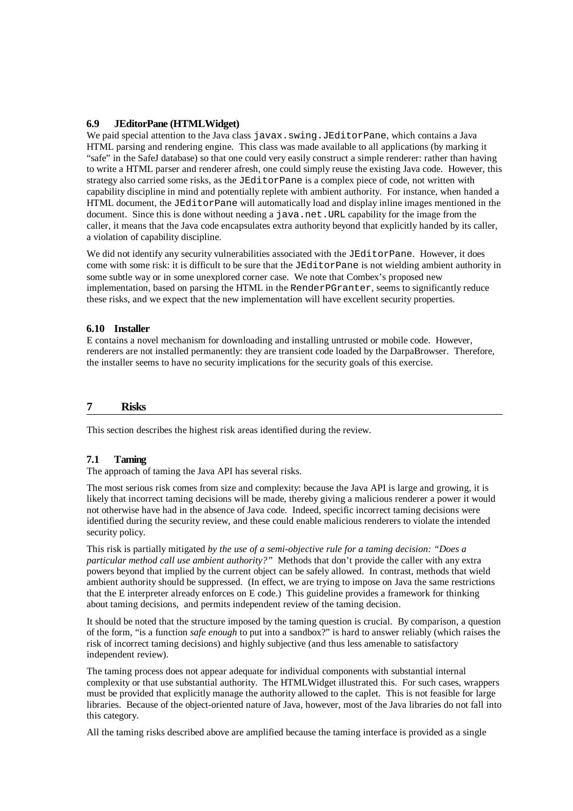## **6.9 JEditorPane (HTMLWidget)**

We paid special attention to the Java class javax. swing. JEditorPane, which contains a Java HTML parsing and rendering engine. This class was made available to all applications (by marking it "safe" in the SafeJ database) so that one could very easily construct a simple renderer: rather than having to write a HTML parser and renderer afresh, one could simply reuse the existing Java code. However, this strategy also carried some risks, as the JEditorPane is a complex piece of code, not written with capability discipline in mind and potentially replete with ambient authority. For instance, when handed a HTML document, the JEditorPane will automatically load and display inline images mentioned in the document. Since this is done without needing a java.net.URL capability for the image from the caller, it means that the Java code encapsulates extra authority beyond that explicitly handed by its caller, a violation of capability discipline.

We did not identify any security vulnerabilities associated with the JEditorPane. However, it does come with some risk: it is difficult to be sure that the JEditorPane is not wielding ambient authority in some subtle way or in some unexplored corner case. We note that Combex's proposed new implementation, based on parsing the HTML in the RenderPGranter, seems to significantly reduce these risks, and we expect that the new implementation will have excellent security properties.

#### **6.10 Installer**

E contains a novel mechanism for downloading and installing untrusted or mobile code. However, renderers are not installed permanently: they are transient code loaded by the DarpaBrowser. Therefore, the installer seems to have no security implications for the security goals of this exercise.

## **7 Risks**

This section describes the highest risk areas identified during the review.

## **7.1 Taming**

The approach of taming the Java API has several risks.

The most serious risk comes from size and complexity: because the Java API is large and growing, it is likely that incorrect taming decisions will be made, thereby giving a malicious renderer a power it would not otherwise have had in the absence of Java code. Indeed, specific incorrect taming decisions were identified during the security review, and these could enable malicious renderers to violate the intended security policy.

This risk is partially mitigated *by the use of a semi-objective rule for a taming decision: "Does a particular method call use ambient authority?"* Methods that don't provide the caller with any extra powers beyond that implied by the current object can be safely allowed. In contrast, methods that wield ambient authority should be suppressed. (In effect, we are trying to impose on Java the same restrictions that the E interpreter already enforces on E code.) This guideline provides a framework for thinking about taming decisions, and permits independent review of the taming decision.

It should be noted that the structure imposed by the taming question is crucial. By comparison, a question of the form, "is a function *safe enough* to put into a sandbox?" is hard to answer reliably (which raises the risk of incorrect taming decisions) and highly subjective (and thus less amenable to satisfactory independent review).

The taming process does not appear adequate for individual components with substantial internal complexity or that use substantial authority. The HTMLWidget illustrated this. For such cases, wrappers must be provided that explicitly manage the authority allowed to the caplet. This is not feasible for large libraries. Because of the object-oriented nature of Java, however, most of the Java libraries do not fall into this category.

All the taming risks described above are amplified because the taming interface is provided as a single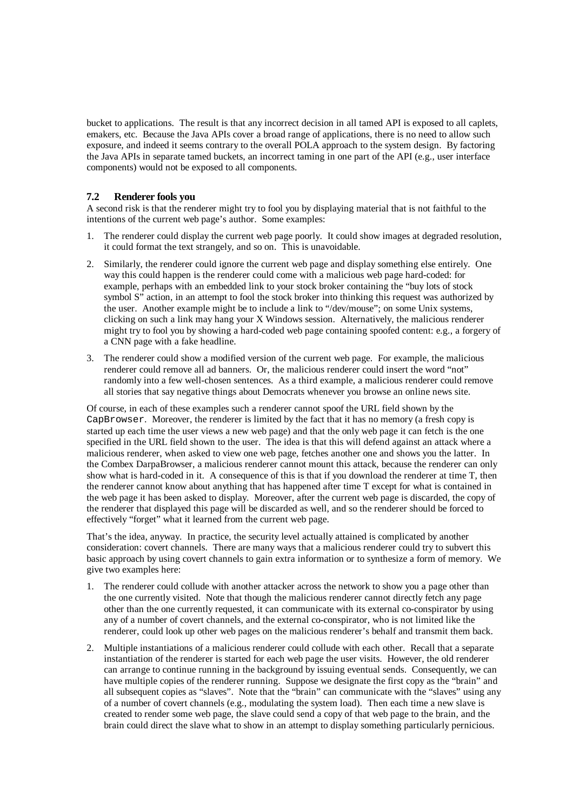bucket to applications. The result is that any incorrect decision in all tamed API is exposed to all caplets, emakers, etc. Because the Java APIs cover a broad range of applications, there is no need to allow such exposure, and indeed it seems contrary to the overall POLA approach to the system design. By factoring the Java APIs in separate tamed buckets, an incorrect taming in one part of the API (e.g., user interface components) would not be exposed to all components.

## **7.2 Renderer fools you**

A second risk is that the renderer might try to fool you by displaying material that is not faithful to the intentions of the current web page's author. Some examples:

- 1. The renderer could display the current web page poorly. It could show images at degraded resolution, it could format the text strangely, and so on. This is unavoidable.
- 2. Similarly, the renderer could ignore the current web page and display something else entirely. One way this could happen is the renderer could come with a malicious web page hard-coded: for example, perhaps with an embedded link to your stock broker containing the "buy lots of stock symbol S" action, in an attempt to fool the stock broker into thinking this request was authorized by the user. Another example might be to include a link to "/dev/mouse"; on some Unix systems, clicking on such a link may hang your X Windows session. Alternatively, the malicious renderer might try to fool you by showing a hard-coded web page containing spoofed content: e.g., a forgery of a CNN page with a fake headline.
- 3. The renderer could show a modified version of the current web page. For example, the malicious renderer could remove all ad banners. Or, the malicious renderer could insert the word "not" randomly into a few well-chosen sentences. As a third example, a malicious renderer could remove all stories that say negative things about Democrats whenever you browse an online news site.

Of course, in each of these examples such a renderer cannot spoof the URL field shown by the CapBrowser. Moreover, the renderer is limited by the fact that it has no memory (a fresh copy is started up each time the user views a new web page) and that the only web page it can fetch is the one specified in the URL field shown to the user. The idea is that this will defend against an attack where a malicious renderer, when asked to view one web page, fetches another one and shows you the latter. In the Combex DarpaBrowser, a malicious renderer cannot mount this attack, because the renderer can only show what is hard-coded in it. A consequence of this is that if you download the renderer at time T, then the renderer cannot know about anything that has happened after time T except for what is contained in the web page it has been asked to display. Moreover, after the current web page is discarded, the copy of the renderer that displayed this page will be discarded as well, and so the renderer should be forced to effectively "forget" what it learned from the current web page.

That's the idea, anyway. In practice, the security level actually attained is complicated by another consideration: covert channels. There are many ways that a malicious renderer could try to subvert this basic approach by using covert channels to gain extra information or to synthesize a form of memory. We give two examples here:

- 1. The renderer could collude with another attacker across the network to show you a page other than the one currently visited. Note that though the malicious renderer cannot directly fetch any page other than the one currently requested, it can communicate with its external co-conspirator by using any of a number of covert channels, and the external co-conspirator, who is not limited like the renderer, could look up other web pages on the malicious renderer's behalf and transmit them back.
- 2. Multiple instantiations of a malicious renderer could collude with each other. Recall that a separate instantiation of the renderer is started for each web page the user visits. However, the old renderer can arrange to continue running in the background by issuing eventual sends. Consequently, we can have multiple copies of the renderer running. Suppose we designate the first copy as the "brain" and all subsequent copies as "slaves". Note that the "brain" can communicate with the "slaves" using any of a number of covert channels (e.g., modulating the system load). Then each time a new slave is created to render some web page, the slave could send a copy of that web page to the brain, and the brain could direct the slave what to show in an attempt to display something particularly pernicious.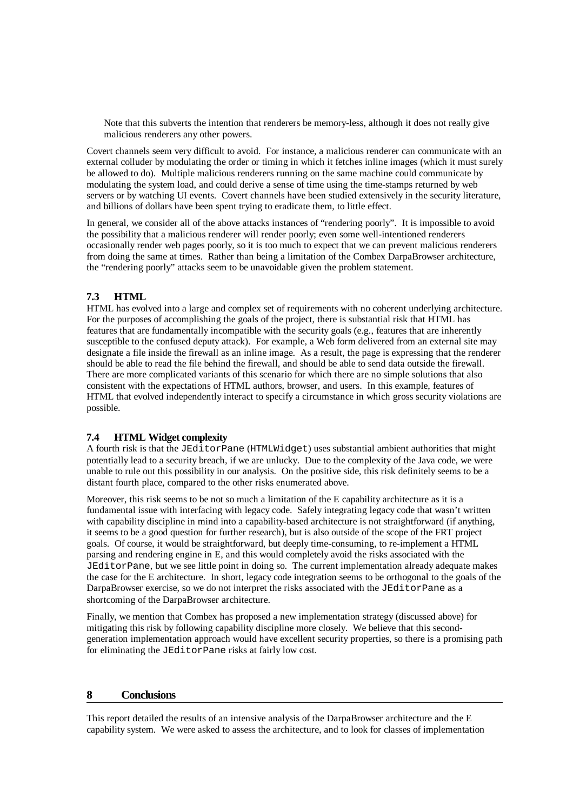Note that this subverts the intention that renderers be memory-less, although it does not really give malicious renderers any other powers.

Covert channels seem very difficult to avoid. For instance, a malicious renderer can communicate with an external colluder by modulating the order or timing in which it fetches inline images (which it must surely be allowed to do). Multiple malicious renderers running on the same machine could communicate by modulating the system load, and could derive a sense of time using the time-stamps returned by web servers or by watching UI events. Covert channels have been studied extensively in the security literature, and billions of dollars have been spent trying to eradicate them, to little effect.

In general, we consider all of the above attacks instances of "rendering poorly". It is impossible to avoid the possibility that a malicious renderer will render poorly; even some well-intentioned renderers occasionally render web pages poorly, so it is too much to expect that we can prevent malicious renderers from doing the same at times. Rather than being a limitation of the Combex DarpaBrowser architecture, the "rendering poorly" attacks seem to be unavoidable given the problem statement.

## **7.3 HTML**

HTML has evolved into a large and complex set of requirements with no coherent underlying architecture. For the purposes of accomplishing the goals of the project, there is substantial risk that HTML has features that are fundamentally incompatible with the security goals (e.g., features that are inherently susceptible to the confused deputy attack). For example, a Web form delivered from an external site may designate a file inside the firewall as an inline image. As a result, the page is expressing that the renderer should be able to read the file behind the firewall, and should be able to send data outside the firewall. There are more complicated variants of this scenario for which there are no simple solutions that also consistent with the expectations of HTML authors, browser, and users. In this example, features of HTML that evolved independently interact to specify a circumstance in which gross security violations are possible.

## **7.4 HTML Widget complexity**

A fourth risk is that the JEditorPane (HTMLWidget) uses substantial ambient authorities that might potentially lead to a security breach, if we are unlucky. Due to the complexity of the Java code, we were unable to rule out this possibility in our analysis. On the positive side, this risk definitely seems to be a distant fourth place, compared to the other risks enumerated above.

Moreover, this risk seems to be not so much a limitation of the E capability architecture as it is a fundamental issue with interfacing with legacy code. Safely integrating legacy code that wasn't written with capability discipline in mind into a capability-based architecture is not straightforward (if anything, it seems to be a good question for further research), but is also outside of the scope of the FRT project goals. Of course, it would be straightforward, but deeply time-consuming, to re-implement a HTML parsing and rendering engine in E, and this would completely avoid the risks associated with the JEditorPane, but we see little point in doing so. The current implementation already adequate makes the case for the E architecture. In short, legacy code integration seems to be orthogonal to the goals of the DarpaBrowser exercise, so we do not interpret the risks associated with the JEditorPane as a shortcoming of the DarpaBrowser architecture.

Finally, we mention that Combex has proposed a new implementation strategy (discussed above) for mitigating this risk by following capability discipline more closely. We believe that this secondgeneration implementation approach would have excellent security properties, so there is a promising path for eliminating the JEditorPane risks at fairly low cost.

#### **8 Conclusions**

This report detailed the results of an intensive analysis of the DarpaBrowser architecture and the E capability system. We were asked to assess the architecture, and to look for classes of implementation